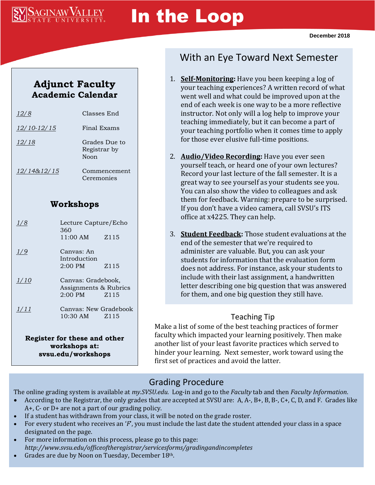

# In the Loop

# **Adjunct Faculty Academic Calendar**

| ′ 8           | Classes End                           |
|---------------|---------------------------------------|
| $12/10-12/15$ | Final Exams                           |
| 12/18         | Grades Due to<br>Registrar by<br>Noon |
| 12/14&12/15   | Commencement<br>Ceremonies            |

## **Workshops**

| 1/8                          | Lecture Capture/Echo<br>360 |      |
|------------------------------|-----------------------------|------|
|                              | 11:00 AM                    | Z115 |
| 1/9                          | Canvas: An                  |      |
|                              | Introduction                |      |
|                              | $2:00$ PM                   | Z115 |
| 1/10                         | Canvas: Gradebook,          |      |
|                              | Assignments & Rubrics       |      |
|                              | $2:00$ PM                   | Z115 |
| 1/11                         | Canvas: New Gradebook       |      |
|                              | 10:30 AM Z115               |      |
|                              |                             |      |
| Register for these and other |                             |      |
| workshops at:                |                             |      |

**svsu.edu/workshops**

# With an Eye Toward Next Semester

- 1. **Self-Monitoring:** Have you been keeping a log of your teaching experiences? A written record of what went well and what could be improved upon at the end of each week is one way to be a more reflective instructor. Not only will a log help to improve your teaching immediately, but it can become a part of your teaching portfolio when it comes time to apply for those ever elusive full-time positions.
- 2. **Audio/Video Recording:** Have you ever seen yourself teach, or heard one of your own lectures? Record your last lecture of the fall semester. It is a great way to see yourself as your students see you. You can also show the video to colleagues and ask them for feedback. Warning: prepare to be surprised. If you don't have a video camera, call SVSU's ITS office at x4225. They can help.
- 3. **Student Feedback:** Those student evaluations at the end of the semester that we're required to administer are valuable. But, you can ask your students for information that the evaluation form does not address. For instance, ask your students to include with their last assignment, a handwritten letter describing one big question that was answered for them, and one big question they still have.

#### Teaching Tip

Make a list of some of the best teaching practices of former faculty which impacted your learning positively. Then make another list of your least favorite practices which served to hinder your learning. Next semester, work toward using the first set of practices and avoid the latter.

# Grading Procedure

The online grading system is available at *my.SVSU.edu*. Log-in and go to the *Faculty* tab and then *Faculty Information*.

- According to the Registrar, the only grades that are accepted at SVSU are: A, A-, B+, B, B-, C+, C, D, and F. Grades like A+, C- or D+ are not a part of our grading policy.
- If a student has withdrawn from your class, it will be noted on the grade roster.
- For every student who receives an '*F*', you must include the last date the student attended your class in a space designated on the page.
- For more information on this process, please go to this page: *http://www.svsu.edu/officeoftheregistrar/servicesforms/gradingandincompletes*
- Grades are due by Noon on Tuesday, December 18th.